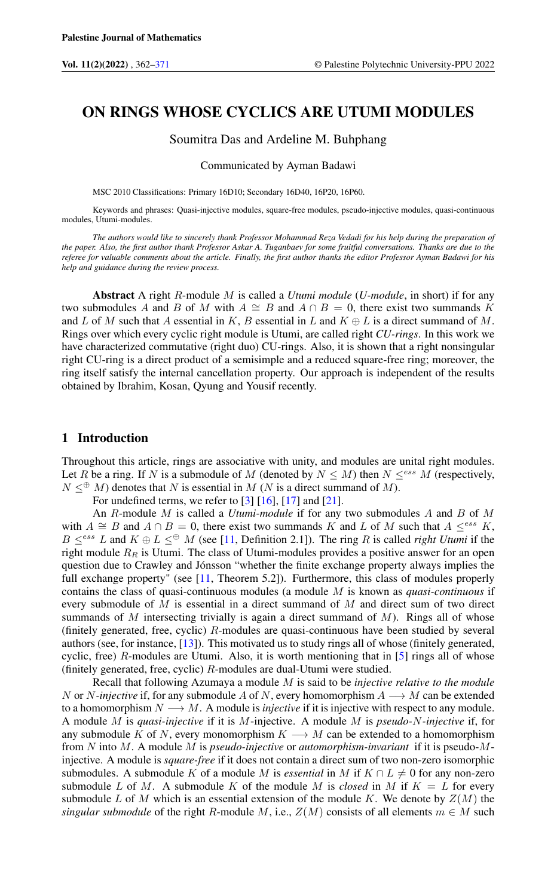# <span id="page-0-0"></span>ON RINGS WHOSE CYCLICS ARE UTUMI MODULES

#### Soumitra Das and Ardeline M. Buhphang

Communicated by Ayman Badawi

MSC 2010 Classifications: Primary 16D10; Secondary 16D40, 16P20, 16P60.

Keywords and phrases: Quasi-injective modules, square-free modules, pseudo-injective modules, quasi-continuous modules, Utumi-modules.

*The authors would like to sincerely thank Professor Mohammad Reza Vedadi for his help during the preparation of the paper. Also, the first author thank Professor Askar A. Tuganbaev for some fruitful conversations. Thanks are due to the referee for valuable comments about the article. Finally, the first author thanks the editor Professor Ayman Badawi for his help and guidance during the review process.*

Abstract A right R-module M is called a *Utumi module* (*U-module*, in short) if for any two submodules A and B of M with  $A \cong B$  and  $A \cap B = 0$ , there exist two summands K and L of M such that A essential in K, B essential in L and  $K \oplus L$  is a direct summand of M. Rings over which every cyclic right module is Utumi, are called right *CU-rings*. In this work we have characterized commutative (right duo) CU-rings. Also, it is shown that a right nonsingular right CU-ring is a direct product of a semisimple and a reduced square-free ring; moreover, the ring itself satisfy the internal cancellation property. Our approach is independent of the results obtained by Ibrahim, Kosan, Qyung and Yousif recently.

## 1 Introduction

Throughout this article, rings are associative with unity, and modules are unital right modules. Let R be a ring. If N is a submodule of M (denoted by  $N \le M$ ) then  $N \leq^{ess} M$  (respectively,  $N \leq^{\oplus} M$ ) denotes that N is essential in M (N is a direct summand of M).

For undefined terms, we refer to  $[3]$   $[16]$ ,  $[17]$  and  $[21]$ .

An R-module M is called a *Utumi-module* if for any two submodules A and B of M with  $A \cong B$  and  $A \cap B = 0$ , there exist two summands K and L of M such that  $A \leq^{ess} K$ ,  $B \leq^{ess} L$  and  $K \oplus L \leq^{ \oplus} M$  (see [\[11,](#page-9-3) Definition 2.1]). The ring R is called *right Utumi* if the right module  $R_R$  is Utumi. The class of Utumi-modules provides a positive answer for an open question due to Crawley and Jónsson "whether the finite exchange property always implies the full exchange property" (see [\[11,](#page-9-3) Theorem 5.2]). Furthermore, this class of modules properly contains the class of quasi-continuous modules (a module M is known as *quasi-continuous* if every submodule of  $M$  is essential in a direct summand of  $M$  and direct sum of two direct summands of  $M$  intersecting trivially is again a direct summand of  $M$ ). Rings all of whose (finitely generated, free, cyclic)  $R$ -modules are quasi-continuous have been studied by several authors (see, for instance, [\[13\]](#page-9-4)). This motivated us to study rings all of whose (finitely generated, cyclic, free)  $R$ -modules are Utumi. Also, it is worth mentioning that in  $[5]$  rings all of whose (finitely generated, free, cyclic) R-modules are dual-Utumi were studied.

Recall that following Azumaya a module M is said to be *injective relative to the module* N or N-injective if, for any submodule A of N, every homomorphism  $A \longrightarrow M$  can be extended to a homomorphism  $N \longrightarrow M$ . A module is *injective* if it is injective with respect to any module. A module M is *quasi-injective* if it is M-injective. A module M is *pseudo-*N*-injective* if, for any submodule K of N, every monomorphism  $K \longrightarrow M$  can be extended to a homomorphism from N into M. A module M is *pseudo-injective* or *automorphism-invariant* if it is pseudo-Minjective. A module is *square-free* if it does not contain a direct sum of two non-zero isomorphic submodules. A submodule K of a module M is *essential* in M if  $K \cap L \neq 0$  for any non-zero submodule L of M. A submodule K of the module M is *closed* in M if  $K = L$  for every submodule L of M which is an essential extension of the module K. We denote by  $Z(M)$  the *singular submodule* of the right R-module M, i.e.,  $Z(M)$  consists of all elements  $m \in M$  such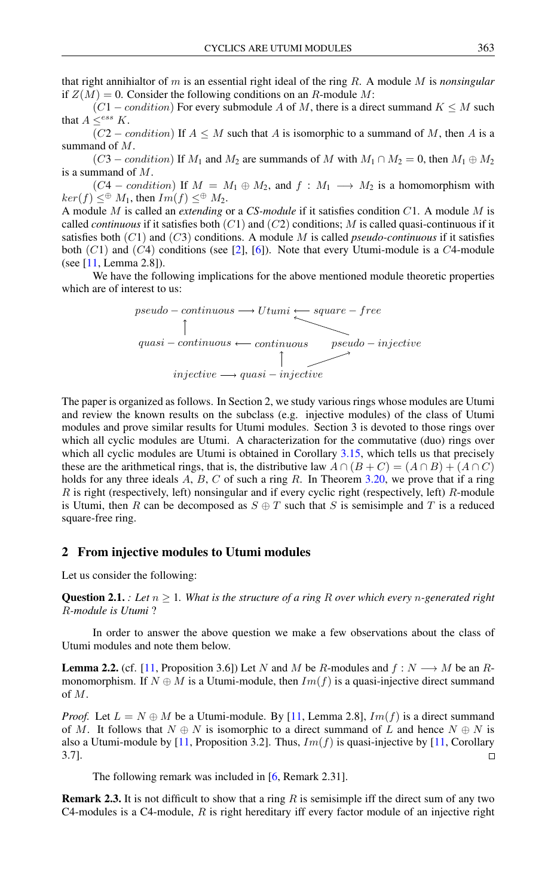that right annihialtor of m is an essential right ideal of the ring R. A module M is *nonsingular* if  $Z(M) = 0$ . Consider the following conditions on an R-module M:

 $(C1 - condition)$  For every submodule A of M, there is a direct summand  $K \leq M$  such that  $A \leq^{ess} K$ .

 $(C2 - condition)$  If  $A \leq M$  such that A is isomorphic to a summand of M, then A is a summand of M.

 $(C3 - condition)$  If  $M_1$  and  $M_2$  are summands of M with  $M_1 \cap M_2 = 0$ , then  $M_1 \oplus M_2$ is a summand of M.

 $(C4 - condition)$  If  $M = M_1 \oplus M_2$ , and  $f : M_1 \longrightarrow M_2$  is a homomorphism with  $ker(f) \leq^{\oplus} M_1$ , then  $Im(f) \leq^{\oplus} M_2$ .

A module M is called an *extending* or a *CS-module* if it satisfies condition C1. A module M is called *continuous* if it satisfies both  $(C1)$  and  $(C2)$  conditions; M is called quasi-continuous if it satisfies both (C1) and (C3) conditions. A module M is called *pseudo-continuous* if it satisfies both  $(C1)$  and  $(C4)$  conditions (see [\[2\]](#page-8-3), [\[6\]](#page-8-4)). Note that every Utumi-module is a  $C4$ -module (see [\[11,](#page-9-3) Lemma 2.8]).

We have the following implications for the above mentioned module theoretic properties which are of interest to us:



The paper is organized as follows. In Section 2, we study various rings whose modules are Utumi and review the known results on the subclass (e.g. injective modules) of the class of Utumi modules and prove similar results for Utumi modules. Section 3 is devoted to those rings over which all cyclic modules are Utumi. A characterization for the commutative (duo) rings over which all cyclic modules are Utumi is obtained in Corollary [3.15,](#page-6-0) which tells us that precisely these are the arithmetical rings, that is, the distributive law  $A \cap (B + C) = (A \cap B) + (A \cap C)$ holds for any three ideals  $A$ ,  $B$ ,  $C$  of such a ring  $R$ . In Theorem [3.20,](#page-7-0) we prove that if a ring R is right (respectively, left) nonsingular and if every cyclic right (respectively, left) R-module is Utumi, then R can be decomposed as  $S \oplus T$  such that S is semisimple and T is a reduced square-free ring.

#### 2 From injective modules to Utumi modules

Let us consider the following:

<span id="page-1-1"></span>**Question 2.1.** *: Let*  $n \geq 1$ *. What is the structure of a ring* R *over which every n*-generated right R*-module is Utumi* ?

In order to answer the above question we make a few observations about the class of Utumi modules and note them below.

<span id="page-1-0"></span>**Lemma 2.2.** (cf. [\[11,](#page-9-3) Proposition 3.6]) Let N and M be R-modules and  $f: N \longrightarrow M$  be an Rmonomorphism. If  $N \oplus M$  is a Utumi-module, then  $Im(f)$  is a quasi-injective direct summand of M.

*Proof.* Let  $L = N \oplus M$  be a Utumi-module. By [\[11,](#page-9-3) Lemma 2.8],  $Im(f)$  is a direct summand of M. It follows that  $N \oplus N$  is isomorphic to a direct summand of L and hence  $N \oplus N$  is also a Utumi-module by [\[11,](#page-9-3) Proposition 3.2]. Thus,  $Im(f)$  is quasi-injective by [11, Corollary 3.7].  $\Box$ 

The following remark was included in [\[6,](#page-8-4) Remark 2.31].

**Remark 2.3.** It is not difficult to show that a ring  $R$  is semisimple iff the direct sum of any two C4-modules is a C4-module,  $R$  is right hereditary iff every factor module of an injective right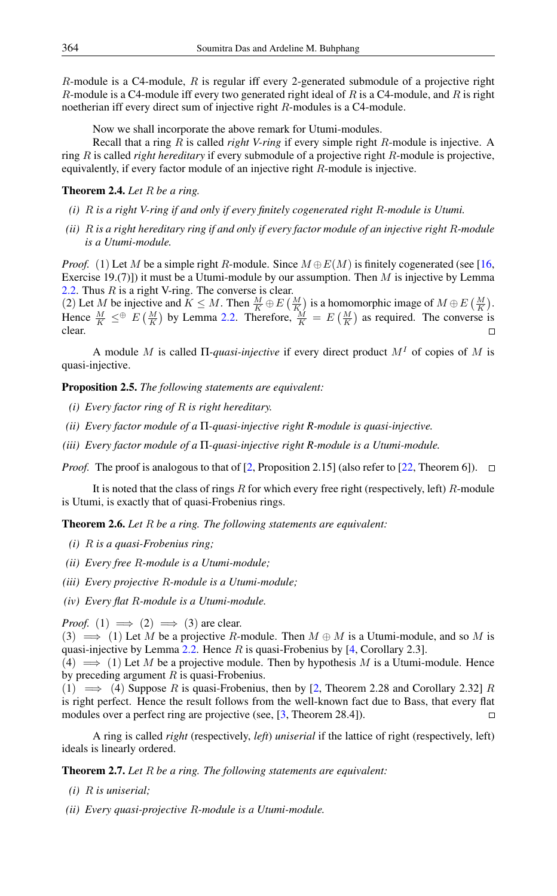$R$ -module is a C4-module,  $R$  is regular iff every 2-generated submodule of a projective right R-module is a C4-module iff every two generated right ideal of R is a C4-module, and R is right noetherian iff every direct sum of injective right R-modules is a C4-module.

Now we shall incorporate the above remark for Utumi-modules.

Recall that a ring R is called *right V-ring* if every simple right R-module is injective. A ring R is called *right hereditary* if every submodule of a projective right R-module is projective, equivalently, if every factor module of an injective right R-module is injective.

#### Theorem 2.4. *Let* R *be a ring.*

- *(i)* R *is a right V-ring if and only if every finitely cogenerated right* R*-module is Utumi.*
- *(ii)* R *is a right hereditary ring if and only if every factor module of an injective right* R*-module is a Utumi-module.*

*Proof.* (1) Let M be a simple right R-module. Since  $M \oplus E(M)$  is finitely cogenerated (see [\[16,](#page-9-0) Exercise 19.(7)]) it must be a Utumi-module by our assumption. Then  $M$  is injective by Lemma [2.2.](#page-1-0) Thus  $R$  is a right V-ring. The converse is clear.

(2) Let M be injective and  $K \leq M$ . Then  $\frac{M}{K} \oplus E\left(\frac{M}{K}\right)$  is a homomorphic image of  $M \oplus E\left(\frac{M}{K}\right)$ . Hence  $\frac{M}{K} \leq^{\oplus} E\left(\frac{M}{K}\right)$  by Lemma [2.2.](#page-1-0) Therefore,  $\frac{M}{K} = E\left(\frac{M}{K}\right)$  as required. The converse is clear.

A module M is called Π*-quasi-injective* if every direct product M<sup>I</sup> of copies of M is quasi-injective.

Proposition 2.5. *The following statements are equivalent:*

- *(i) Every factor ring of* R *is right hereditary.*
- *(ii) Every factor module of a* Π*-quasi-injective right R-module is quasi-injective.*
- *(iii) Every factor module of a* Π*-quasi-injective right R-module is a Utumi-module.*

*Proof.* The proof is analogous to that of [\[2,](#page-8-3) Proposition 2.15] (also refer to [\[22,](#page-9-5) Theorem 6]).  $\Box$ 

It is noted that the class of rings  $R$  for which every free right (respectively, left)  $R$ -module is Utumi, is exactly that of quasi-Frobenius rings.

Theorem 2.6. *Let* R *be a ring. The following statements are equivalent:*

- *(i)* R *is a quasi-Frobenius ring;*
- *(ii) Every free* R*-module is a Utumi-module;*
- *(iii) Every projective* R*-module is a Utumi-module;*
- *(iv) Every flat* R*-module is a Utumi-module.*

*Proof.* (1)  $\implies$  (2)  $\implies$  (3) are clear.

(3)  $\implies$  (1) Let M be a projective R-module. Then  $M \oplus M$  is a Utumi-module, and so M is quasi-injective by Lemma  $2.2$ . Hence R is quasi-Frobenius by [\[4,](#page-8-5) Corollary 2.3].

 $(4) \implies (1)$  Let M be a projective module. Then by hypothesis M is a Utumi-module. Hence by preceding argument  $R$  is quasi-Frobenius.

(1)  $\implies$  (4) Suppose R is quasi-Frobenius, then by [\[2,](#page-8-3) Theorem 2.28 and Corollary 2.32] R is right perfect. Hence the result follows from the well-known fact due to Bass, that every flat modules over a perfect ring are projective (see, [\[3,](#page-8-1) Theorem 28.4]).  $\Box$ 

A ring is called *right* (respectively, *left*) *uniserial* if the lattice of right (respectively, left) ideals is linearly ordered.

Theorem 2.7. *Let* R *be a ring. The following statements are equivalent:*

- *(i)* R *is uniserial;*
- *(ii) Every quasi-projective* R*-module is a Utumi-module.*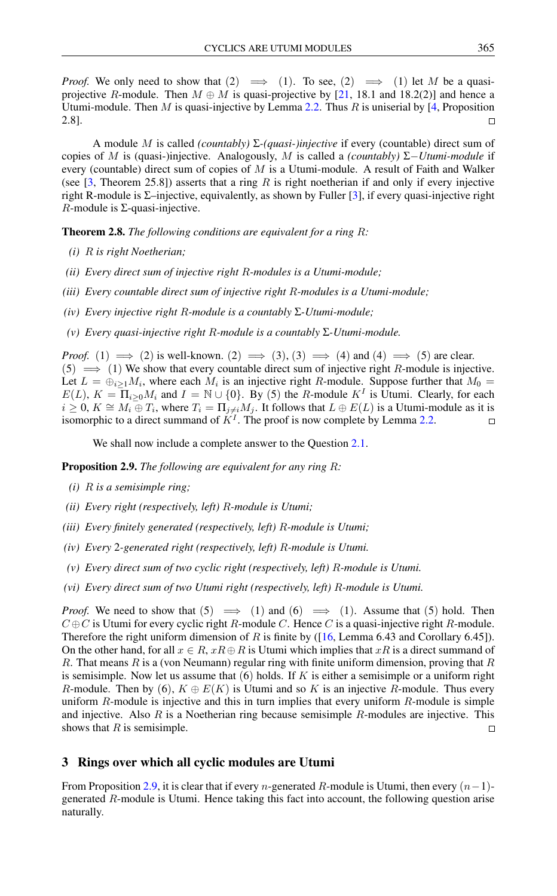*Proof.* We only need to show that  $(2) \implies (1)$ . To see,  $(2) \implies (1)$  let M be a quasiprojective R-module. Then  $M \oplus M$  is quasi-projective by [\[21,](#page-9-2) 18.1 and 18.2(2)] and hence a Utumi-module. Then M is quasi-injective by Lemma [2.2.](#page-1-0) Thus R is uniserial by [\[4,](#page-8-5) Proposition 2.8].  $\Box$ 

A module M is called *(countably)* Σ*-(quasi-)injective* if every (countable) direct sum of copies of M is (quasi-)injective. Analogously, M is called a *(countably)* Σ−*Utumi-module* if every (countable) direct sum of copies of  $M$  is a Utumi-module. A result of Faith and Walker (see  $[3,$  Theorem 25.8]) asserts that a ring R is right noetherian if and only if every injective right R-module is  $\Sigma$ –injective, equivalently, as shown by Fuller [\[3\]](#page-8-1), if every quasi-injective right  $R$ -module is  $\Sigma$ -quasi-injective.

Theorem 2.8. *The following conditions are equivalent for a ring* R*:*

- *(i)* R *is right Noetherian;*
- *(ii) Every direct sum of injective right* R*-modules is a Utumi-module;*
- *(iii) Every countable direct sum of injective right* R*-modules is a Utumi-module;*
- *(iv) Every injective right* R*-module is a countably* Σ*-Utumi-module;*
- *(v) Every quasi-injective right* R*-module is a countably* Σ*-Utumi-module.*

*Proof.* (1)  $\implies$  (2) is well-known. (2)  $\implies$  (3), (3)  $\implies$  (4) and (4)  $\implies$  (5) are clear.  $(5) \implies (1)$  We show that every countable direct sum of injective right R-module is injective. Let  $L = \bigoplus_{i \geq 1} M_i$ , where each  $M_i$  is an injective right R-module. Suppose further that  $M_0 =$  $E(L)$ ,  $K = \overline{\Pi}_{i \geq 0} M_i$  and  $I = \mathbb{N} \cup \{0\}$ . By (5) the R-module  $K^I$  is Utumi. Clearly, for each  $i \geq 0$ ,  $K \cong M_i \oplus T_i$ , where  $T_i = \prod_{j \neq i} M_j$ . It follows that  $L \oplus E(L)$  is a Utumi-module as it is isomorphic to a direct summand of  $K<sup>I</sup>$ . The proof is now complete by Lemma [2.2.](#page-1-0)  $\Box$ 

We shall now include a complete answer to the Question [2.1.](#page-1-1)

<span id="page-3-0"></span>Proposition 2.9. *The following are equivalent for any ring* R*:*

- *(i)* R *is a semisimple ring;*
- *(ii) Every right (respectively, left)* R*-module is Utumi;*
- *(iii) Every finitely generated (respectively, left)* R*-module is Utumi;*
- *(iv) Every* 2*-generated right (respectively, left)* R*-module is Utumi.*
- *(v) Every direct sum of two cyclic right (respectively, left)* R*-module is Utumi.*
- *(vi) Every direct sum of two Utumi right (respectively, left)* R*-module is Utumi.*

*Proof.* We need to show that  $(5) \implies (1)$  and  $(6) \implies (1)$ . Assume that  $(5)$  hold. Then  $C \oplus C$  is Utumi for every cyclic right R-module C. Hence C is a quasi-injective right R-module. Therefore the right uniform dimension of R is finite by ( $[16$ , Lemma 6.43 and Corollary 6.45]). On the other hand, for all  $x \in R$ ,  $xR \oplus R$  is Utumi which implies that  $xR$  is a direct summand of R. That means  $R$  is a (von Neumann) regular ring with finite uniform dimension, proving that  $R$ is semisimple. Now let us assume that  $(6)$  holds. If K is either a semisimple or a uniform right R-module. Then by (6),  $K \oplus E(K)$  is Utumi and so K is an injective R-module. Thus every uniform R-module is injective and this in turn implies that every uniform R-module is simple and injective. Also  $R$  is a Noetherian ring because semisimple  $R$ -modules are injective. This shows that  $R$  is semisimple.  $\Box$ 

#### 3 Rings over which all cyclic modules are Utumi

From Proposition [2.9,](#page-3-0) it is clear that if every n-generated R-module is Utumi, then every  $(n-1)$ generated R-module is Utumi. Hence taking this fact into account, the following question arise naturally.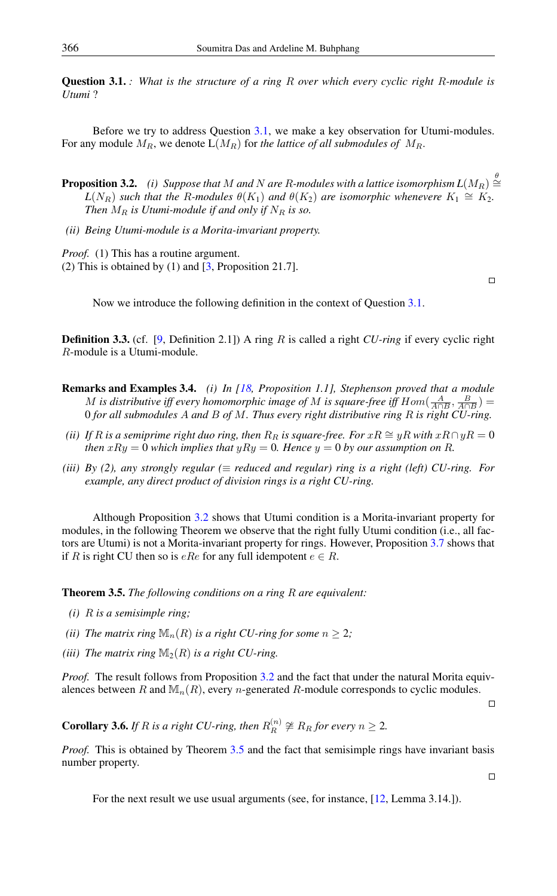<span id="page-4-0"></span>Question 3.1. *: What is the structure of a ring* R *over which every cyclic right* R*-module is Utumi* ?

Before we try to address Question [3.1,](#page-4-0) we make a key observation for Utumi-modules. For any module  $M_R$ , we denote  $L(M_R)$  for *the lattice of all submodules of*  $M_R$ .

- **Proposition 3.2.** (i) Suppose that M and N are R-modules with a lattice isomorphism  $L(M_R) \stackrel{\theta}{\cong}$  $L(N_R)$  *such that the R-modules*  $\theta(K_1)$  *and*  $\theta(K_2)$  *are isomorphic whenevere*  $K_1 \cong K_2$ *. Then*  $M_R$  *is Utumi-module if and only if*  $N_R$  *is so.*
- *(ii) Being Utumi-module is a Morita-invariant property.*

*Proof.* (1) This has a routine argument.

(2) This is obtained by (1) and [\[3,](#page-8-1) Proposition 21.7].

 $\Box$ 

Now we introduce the following definition in the context of Question [3.1.](#page-4-0)

Definition 3.3. (cf. [\[9,](#page-9-6) Definition 2.1]) A ring R is called a right *CU-ring* if every cyclic right R-module is a Utumi-module.

- Remarks and Examples 3.4. *(i) In [\[18,](#page-9-7) Proposition 1.1], Stephenson proved that a module* M is distributive iff every homomorphic image of M is square-free iff  $Hom(\frac{A}{A\cap B}, \frac{B}{A\cap B})$  = 0 *for all submodules* A *and* B *of* M*. Thus every right distributive ring* R *is right CU-ring.*
- *(ii) If* R is a semiprime right duo ring, then  $R_R$  is square-free. For  $xR \cong yR$  with  $xR \cap yR = 0$ *then*  $xRy = 0$  *which implies that*  $yRy = 0$ *. Hence*  $y = 0$  *by our assumption on* R.
- *(iii) By (2), any strongly regular (*≡ *reduced and regular) ring is a right (left) CU-ring. For example, any direct product of division rings is a right CU-ring.*

Although Proposition [3.2](#page-0-0) shows that Utumi condition is a Morita-invariant property for modules, in the following Theorem we observe that the right fully Utumi condition (i.e., all factors are Utumi) is not a Morita-invariant property for rings. However, Proposition [3.7](#page-5-0) shows that if R is right CU then so is  $eRe$  for any full idempotent  $e \in R$ .

<span id="page-4-1"></span>Theorem 3.5. *The following conditions on a ring* R *are equivalent:*

- *(i)* R *is a semisimple ring;*
- *(ii) The matrix ring*  $\mathbb{M}_n(R)$  *is a right CU-ring for some*  $n \geq 2$ *;*
- *(iii)* The matrix ring  $\mathbb{M}_2(R)$  *is a right CU-ring.*

*Proof.* The result follows from Proposition [3.2](#page-0-0) and the fact that under the natural Morita equivalences between R and  $\mathbb{M}_{n}(R)$ , every n-generated R-module corresponds to cyclic modules.

 $\Box$ 

<span id="page-4-2"></span>**Corollary 3.6.** *If*  $R$  *is a right CU-ring, then*  $R_R^{(n)} \ncong R_R$  *for every*  $n \geq 2$ *.* 

*Proof.* This is obtained by Theorem [3.5](#page-4-1) and the fact that semisimple rings have invariant basis number property.

 $\hfill \square$ 

For the next result we use usual arguments (see, for instance, [\[12,](#page-9-8) Lemma 3.14.]).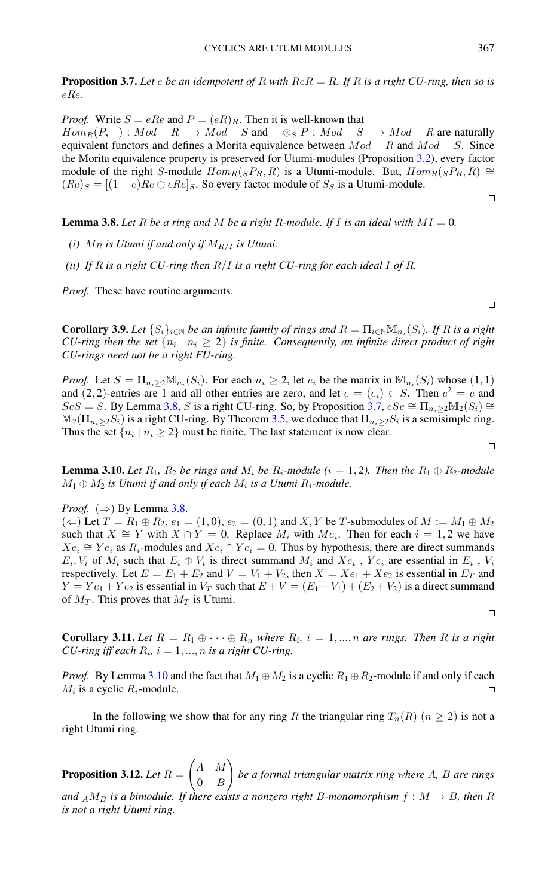<span id="page-5-0"></span>Proposition 3.7. *Let* e *be an idempotent of* R *with* ReR = R*. If* R *is a right CU-ring, then so is* eRe*.*

*Proof.* Write  $S = eRe$  and  $P = (eR)_R$ . Then it is well-known that  $Hom_R(P, -): Mod - R \longrightarrow Mod - S$  and  $-\otimes_S P: Mod - S \longrightarrow Mod - R$  are naturally equivalent functors and defines a Morita equivalence between  $Mod - R$  and  $Mod - S$ . Since the Morita equivalence property is preserved for Utumi-modules (Proposition [3.2\)](#page-0-0), every factor module of the right S-module  $Hom_R(sP_R, R)$  is a Utumi-module. But,  $Hom_R(sP_R, R) \cong$  $(Re)_S = [(1 - e)Re \oplus eRe]_S$ . So every factor module of  $S_S$  is a Utumi-module.

 $\Box$ 

 $\Box$ 

 $\Box$ 

<span id="page-5-1"></span>**Lemma 3.8.** Let R be a ring and M be a right R-module. If I is an ideal with  $MI = 0$ .

- *(i)*  $M_R$  *is Utumi if and only if*  $M_{R/I}$  *is Utumi.*
- *(ii) If* R *is a right CU-ring then* R/I *is a right CU-ring for each ideal* I *of* R*.*

*Proof.* These have routine arguments.

<span id="page-5-3"></span>**Corollary 3.9.** Let  $\{S_i\}_{i\in\mathbb{N}}$  be an infinite family of rings and  $R = \prod_{i\in\mathbb{N}} \mathbb{M}_{n_i}(S_i)$ . If R is a right *CU-ring then the set*  $\{n_i \mid n_i \geq 2\}$  *is finite. Consequently, an infinite direct product of right CU-rings need not be a right FU-ring.*

*Proof.* Let  $S = \prod_{n_i \geq 2} M_{n_i}(S_i)$ . For each  $n_i \geq 2$ , let  $e_i$  be the matrix in  $M_{n_i}(S_i)$  whose  $(1, 1)$ and  $(2, 2)$ -entries are 1 and all other entries are zero, and let  $e = (e_i) \in S$ . Then  $e^2 = e$  and  $S \in S = S$ . By Lemma [3.8,](#page-5-1) S is a right CU-ring. So, by Proposition [3.7,](#page-5-0)  $eS \in \Pi_{n_i > 2} \mathbb{M}_2(S_i) \cong \Pi_{n_i \in \mathbb{N}}$  $\mathbb{M}_2(\Pi_{n_i\geq 2}S_i)$  is a right CU-ring. By Theorem [3.5,](#page-4-1) we deduce that  $\Pi_{n_i\geq 2}S_i$  is a semisimple ring. Thus the set  $\{n_i \mid n_i \geq 2\}$  must be finite. The last statement is now clear.

<span id="page-5-2"></span>**Lemma 3.10.** Let  $R_1$ ,  $R_2$  be rings and  $M_i$  be  $R_i$ -module ( $i = 1, 2$ ). Then the  $R_1 \oplus R_2$ -module  $M_1 \oplus M_2$  is Utumi if and only if each  $M_i$  is a Utumi  $R_i$ -module.

*Proof.* ( $\Rightarrow$ ) By Lemma [3.8.](#page-5-1)

 $(\Leftarrow)$  Let  $T = R_1 \oplus R_2$ ,  $e_1 = (1, 0)$ ,  $e_2 = (0, 1)$  and X, Y be T-submodules of  $M := M_1 \oplus M_2$ such that  $X \cong Y$  with  $X \cap Y = 0$ . Replace  $M_i$  with  $Me_i$ . Then for each  $i = 1, 2$  we have  $Xe_i \cong Ye_i$  as  $R_i$ -modules and  $Xe_i \cap Ye_i = 0$ . Thus by hypothesis, there are direct summands  $E_i$ ,  $V_i$  of  $M_i$  such that  $E_i \oplus V_i$  is direct summand  $M_i$  and  $Xe_i$ ,  $Ye_i$  are essential in  $E_i$ ,  $V_i$ respectively. Let  $E = E_1 + E_2$  and  $V = V_1 + V_2$ , then  $X = Xe_1 + Xe_2$  is essential in  $E_T$  and  $Y = Ye_1 + Ye_2$  is essential in  $V_T$  such that  $E + V = (E_1 + V_1) + (E_2 + V_2)$  is a direct summand of  $M_T$ . This proves that  $M_T$  is Utumi.

 $\Box$ 

<span id="page-5-4"></span>**Corollary 3.11.** Let  $R = R_1 \oplus \cdots \oplus R_n$  where  $R_i$ ,  $i = 1, ..., n$  are rings. Then R is a right *CU-ring iff each*  $R_i$ ,  $i = 1, ..., n$  *is a right CU-ring.* 

*Proof.* By Lemma [3.10](#page-5-2) and the fact that  $M_1 \oplus M_2$  is a cyclic  $R_1 \oplus R_2$ -module if and only if each  $M_i$  is a cyclic  $R_i$ -module.  $\Box$ 

In the following we show that for any ring R the triangular ring  $T_n(R)$  ( $n \ge 2$ ) is not a right Utumi ring.

**Proposition 3.12.** *Let*  $R =$  $\begin{pmatrix} A & M \end{pmatrix}$  $0 \quad B$  $\setminus$ *be a formal triangular matrix ring where* A*,* B *are rings* and  $_A M_B$  *is a bimodule. If there exists a nonzero right B-monomorphism*  $f : M \rightarrow B$ , then R *is not a right Utumi ring.*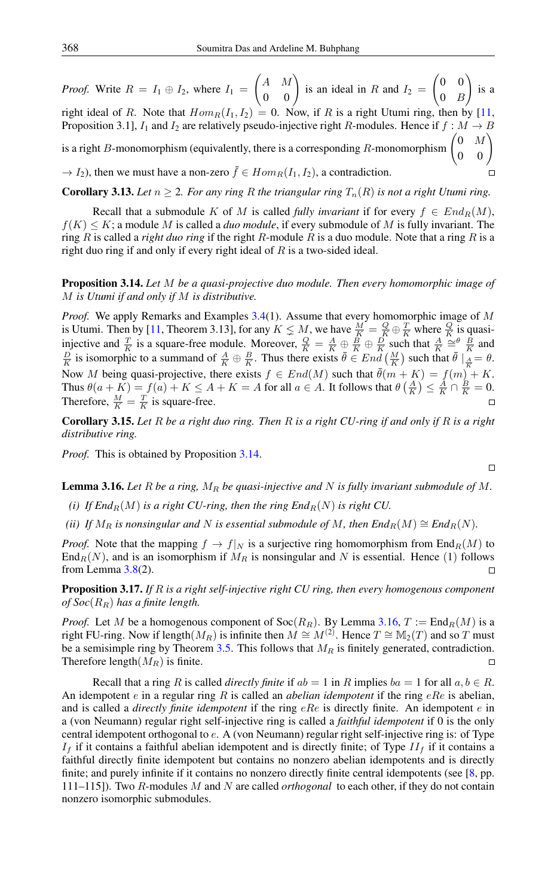$\begin{pmatrix} A & M \\ 0 & 0 \end{pmatrix}$  is an ideal in R and  $I_2 =$  $\begin{pmatrix} 0 & 0 \end{pmatrix}$  $\setminus$ *Proof.* Write  $R = I_1 \oplus I_2$ , where  $I_1 =$ is a  $0 \quad B$ right ideal of R. Note that  $Hom_R(I_1, I_2) = 0$ . Now, if R is a right Utumi ring, then by [\[11,](#page-9-3) Proposition 3.1],  $I_1$  and  $I_2$  are relatively pseudo-injective right R-modules. Hence if  $f : M \to B$ is a right *B*-monomorphism (equivalently, there is a corresponding *R*-monomorphism  $\begin{pmatrix} 0 & M \\ 0 & 0 \end{pmatrix}$  $\rightarrow I_2$ ), then we must have a non-zero  $\bar{f} \in Hom_R(I_1, I_2)$ , a contradiction.  $\Box$ 

**Corollary 3.13.** *Let*  $n \geq 2$ *. For any ring* R *the triangular ring*  $T_n(R)$  *is not a right Utumi ring.* 

Recall that a submodule K of M is called *fully invariant* if for every  $f \in End_R(M)$ ,  $f(K) \leq K$ ; a module M is called a *duo module*, if every submodule of M is fully invariant. The ring R is called a *right duo ring* if the right R-module R is a duo module. Note that a ring R is a right duo ring if and only if every right ideal of  $R$  is a two-sided ideal.

### <span id="page-6-1"></span>Proposition 3.14. *Let* M *be a quasi-projective duo module. Then every homomorphic image of* M *is Utumi if and only if* M *is distributive.*

*Proof.* We apply Remarks and Examples [3.4\(](#page-0-0)1). Assume that every homomorphic image of M is Utumi. Then by [\[11,](#page-9-3) Theorem 3.13], for any  $K \le M$ , we have  $\frac{M}{K} = \frac{Q}{K} \oplus \frac{T}{K}$  where  $\frac{Q}{K}$  is quasiinjective and  $\frac{T}{K}$  is a square-free module. Moreover,  $\frac{Q}{K} = \frac{A}{K} \oplus \frac{B}{K} \oplus \frac{D}{K}$  such that  $\frac{A}{K} \cong \frac{B}{K}$  and  $\frac{D}{K}$  is isomorphic to a summand of  $\frac{A}{K} \oplus \frac{B}{K}$ . Thus there exists  $\bar{\theta} \in End\left(\frac{M}{K}\right)$  such that  $\bar{\theta} \mid_{\frac{A}{K}} = \theta$ . Now M being quasi-projective, there exists  $f \in End(M)$  such that  $\bar{\theta}(m + K) = f(m) + K$ . Thus  $\theta(a+K) = f(a) + K \leq A + K = A$  for all  $a \in A$ . It follows that  $\theta\left(\frac{A}{K}\right) \leq \frac{A}{K} \cap \frac{B}{K} = 0$ . Therefore,  $\frac{M}{K} = \frac{T}{K}$  is square-free.

<span id="page-6-0"></span>Corollary 3.15. *Let* R *be a right duo ring. Then* R *is a right CU-ring if and only if* R *is a right distributive ring.*

*Proof.* This is obtained by Proposition [3.14.](#page-6-1)

<span id="page-6-2"></span>**Lemma 3.16.** Let R be a ring,  $M_R$  be quasi-injective and N is fully invariant submodule of M.

- *(i)* If End<sub>R</sub> $(M)$  *is a right CU-ring, then the ring End<sub>R</sub>* $(N)$  *is right CU.*
- *(ii) If*  $M_R$  *is nonsingular and* N *is essential submodule of* M, then  $End_R(M) \cong End_R(N)$ .

*Proof.* Note that the mapping  $f \to f|_N$  is a surjective ring homomorphism from  $\text{End}_R(M)$  to  $\text{End}_{R}(N)$ , and is an isomorphism if  $M_R$  is nonsingular and N is essential. Hence (1) follows from Lemma  $3.8(2)$  $3.8(2)$ .  $\Box$ 

<span id="page-6-3"></span>Proposition 3.17. *If* R *is a right self-injective right CU ring, then every homogenous component of Soc*( $R_R$ ) *has a finite length.* 

*Proof.* Let M be a homogenous component of  $Soc(R_R)$ . By Lemma [3.16,](#page-6-2)  $T := \text{End}_R(M)$  is a right FU-ring. Now if length $(M_R)$  is infinite then  $M \cong M^{(2)}$ . Hence  $T \cong M_2(T)$  and so T must be a semisimple ring by Theorem [3.5.](#page-4-1) This follows that  $M_R$  is finitely generated, contradiction. Therefore length $(M_R)$  is finite.  $\Box$ 

Recall that a ring R is called *directly finite* if  $ab = 1$  in R implies  $ba = 1$  for all  $a, b \in R$ . An idempotent e in a regular ring R is called an *abelian idempotent* if the ring eRe is abelian, and is called a *directly finite idempotent* if the ring eRe is directly finite. An idempotent e in a (von Neumann) regular right self-injective ring is called a *faithful idempotent* if 0 is the only central idempotent orthogonal to e. A (von Neumann) regular right self-injective ring is: of Type  $I_f$  if it contains a faithful abelian idempotent and is directly finite; of Type  $II_f$  if it contains a faithful directly finite idempotent but contains no nonzero abelian idempotents and is directly finite; and purely infinite if it contains no nonzero directly finite central idempotents (see [\[8,](#page-9-9) pp. 111–115]). Two R-modules M and N are called *orthogonal* to each other, if they do not contain nonzero isomorphic submodules.

$$
\Box
$$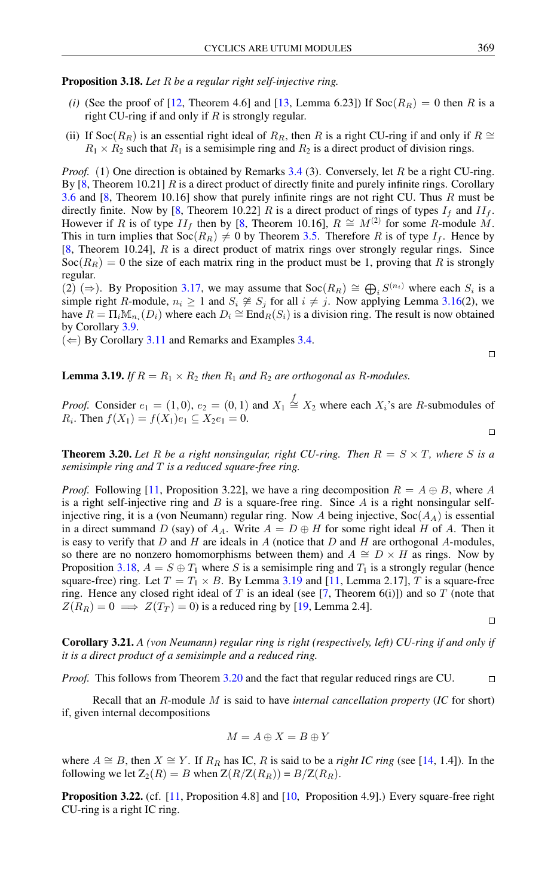<span id="page-7-1"></span>Proposition 3.18. *Let* R *be a regular right self-injective ring.*

- *(i)* (See the proof of [\[12,](#page-9-8) Theorem 4.6] and [\[13,](#page-9-4) Lemma 6.23]) If  $Soc(R_R) = 0$  then R is a right CU-ring if and only if  $R$  is strongly regular.
- (ii) If Soc( $R_R$ ) is an essential right ideal of  $R_R$ , then R is a right CU-ring if and only if  $R \cong$  $R_1 \times R_2$  such that  $R_1$  is a semisimple ring and  $R_2$  is a direct product of division rings.

*Proof.* (1) One direction is obtained by Remarks [3.4](#page-0-0) (3). Conversely, let R be a right CU-ring. By  $[8,$  Theorem 10.21] R is a direct product of directly finite and purely infinite rings. Corollary [3.6](#page-4-2) and [\[8,](#page-9-9) Theorem 10.16] show that purely infinite rings are not right CU. Thus R must be directly finite. Now by [\[8,](#page-9-9) Theorem 10.22] R is a direct product of rings of types  $I_f$  and  $II_f$ . However if R is of type  $II_f$  then by [\[8,](#page-9-9) Theorem 10.16],  $R \cong M^{(2)}$  for some R-module M. This in turn implies that  $Soc(R_R) \neq 0$  by Theorem [3.5.](#page-4-1) Therefore R is of type  $I_f$ . Hence by  $[8,$  Theorem 10.24],  $R$  is a direct product of matrix rings over strongly regular rings. Since  $\text{Soc}(R_R) = 0$  the size of each matrix ring in the product must be 1, proving that R is strongly regular.

(2) (⇒). By Proposition [3.17,](#page-6-3) we may assume that  $Soc(R_R) \cong \bigoplus_i S^{(n_i)}$  where each  $S_i$  is a simple right R-module,  $n_i \geq 1$  and  $S_i \not\cong S_j$  for all  $i \neq j$ . Now applying Lemma [3.16\(](#page-6-2)2), we have  $R = \Pi_i \mathbb{M}_{n_i}(D_i)$  where each  $D_i \cong \text{End}_R(S_i)$  is a division ring. The result is now obtained by Corollary [3.9.](#page-5-3)

 $(\Leftarrow)$  By Corollary [3.11](#page-5-4) and Remarks and Examples [3.4.](#page-0-0)

<span id="page-7-2"></span>**Lemma 3.19.** *If*  $R = R_1 \times R_2$  *then*  $R_1$  *and*  $R_2$  *are orthogonal as*  $R$ *-modules.* 

*Proof.* Consider  $e_1 = (1,0)$ ,  $e_2 = (0,1)$  and  $X_1 \stackrel{f}{\cong} X_2$  where each  $X_i$ 's are R-submodules of *R<sub>i</sub>*. Then  $f(X_1) = f(X_1)e_1 \subseteq X_2e_1 = 0$ .

<span id="page-7-0"></span>**Theorem 3.20.** Let R be a right nonsingular, right CU-ring. Then  $R = S \times T$ , where S is a *semisimple ring and* T *is a reduced square-free ring.*

*Proof.* Following [\[11,](#page-9-3) Proposition 3.22], we have a ring decomposition  $R = A \oplus B$ , where A is a right self-injective ring and  $B$  is a square-free ring. Since  $A$  is a right nonsingular selfinjective ring, it is a (von Neumann) regular ring. Now A being injective,  $\text{Soc}(A_A)$  is essential in a direct summand D (say) of  $A_A$ . Write  $A = D \oplus H$  for some right ideal H of A. Then it is easy to verify that  $D$  and  $H$  are ideals in  $A$  (notice that  $D$  and  $H$  are orthogonal  $A$ -modules, so there are no nonzero homomorphisms between them) and  $A \cong D \times H$  as rings. Now by Proposition [3.18,](#page-7-1)  $A = S \oplus T_1$  where S is a semisimple ring and  $T_1$  is a strongly regular (hence square-free) ring. Let  $T = T_1 \times B$ . By Lemma [3.19](#page-7-2) and [\[11,](#page-9-3) Lemma 2.17], T is a square-free ring. Hence any closed right ideal of T is an ideal (see [\[7,](#page-8-6) Theorem 6(i)]) and so T (note that  $Z(R_R) = 0 \implies Z(T_T) = 0$  is a reduced ring by [\[19,](#page-9-10) Lemma 2.4].

 $\Box$ 

 $\Box$ 

 $\Box$ 

<span id="page-7-4"></span>Corollary 3.21. *A (von Neumann) regular ring is right (respectively, left) CU-ring if and only if it is a direct product of a semisimple and a reduced ring.*

*Proof.* This follows from Theorem [3.20](#page-7-0) and the fact that regular reduced rings are CU.  $\Box$ 

Recall that an R-module M is said to have *internal cancellation property* (*IC* for short) if, given internal decompositions

$$
M=A\oplus X=B\oplus Y
$$

where  $A \cong B$ , then  $X \cong Y$ . If  $R_R$  has IC, R is said to be a *right IC ring* (see [\[14,](#page-9-11) 1.4]). In the following we let  $Z_2(R) = B$  when  $Z(R/Z(R_R)) = B/Z(R_R)$ .

<span id="page-7-3"></span>Proposition 3.22. (cf. [\[11,](#page-9-3) Proposition 4.8] and [\[10,](#page-9-12) Proposition 4.9].) Every square-free right CU-ring is a right IC ring.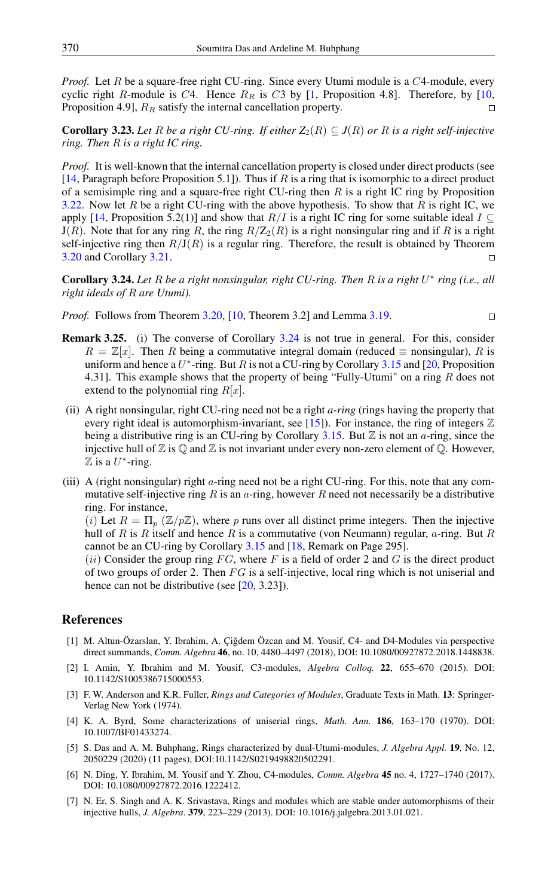*Proof.* Let R be a square-free right CU-ring. Since every Utumi module is a C4-module, every cyclic right R-module is C4. Hence  $R_R$  is C3 by [\[1,](#page-8-7) Proposition 4.8]. Therefore, by [\[10,](#page-9-12) Proposition 4.9],  $R_R$  satisfy the internal cancellation property.

**Corollary 3.23.** Let R be a right CU-ring. If either  $Z_2(R) \subseteq J(R)$  or R is a right self-injective *ring. Then* R *is a right IC ring.*

*Proof.* It is well-known that the internal cancellation property is closed under direct products (see  $[14,$  Paragraph before Proposition 5.1]). Thus if R is a ring that is isomorphic to a direct product of a semisimple ring and a square-free right CU-ring then  $R$  is a right IC ring by Proposition [3.22.](#page-7-3) Now let R be a right CU-ring with the above hypothesis. To show that R is right IC, we apply [\[14,](#page-9-11) Proposition 5.2(1)] and show that  $R/I$  is a right IC ring for some suitable ideal  $I \subseteq$  $J(R)$ . Note that for any ring R, the ring  $R/Z_2(R)$  is a right nonsingular ring and if R is a right self-injective ring then  $R/J(R)$  is a regular ring. Therefore, the result is obtained by Theorem [3.20](#page-7-0) and Corollary [3.21.](#page-7-4)  $\Box$ 

<span id="page-8-8"></span>Corollary 3.24. *Let* R *be a right nonsingular, right CU-ring. Then* R *is a right* U ∗ *ring (i.e., all right ideals of* R *are Utumi).*

 $\Box$ 

- *Proof.* Follows from Theorem [3.20,](#page-7-0) [\[10,](#page-9-12) Theorem 3.2] and Lemma [3.19.](#page-7-2)
- Remark 3.25. (i) The converse of Corollary [3.24](#page-8-8) is not true in general. For this, consider  $R = \mathbb{Z}[x]$ . Then R being a commutative integral domain (reduced  $\equiv$  nonsingular), R is uniform and hence a  $U^*$ -ring. But R is not a CU-ring by Corollary [3.15](#page-6-0) and [\[20,](#page-9-13) Proposition 4.31]. This example shows that the property of being "Fully-Utumi" on a ring  $R$  does not extend to the polynomial ring  $R[x]$ .
- (ii) A right nonsingular, right CU-ring need not be a right *a-ring* (rings having the property that every right ideal is automorphism-invariant, see [\[15\]](#page-9-14)). For instance, the ring of integers  $\mathbb Z$ being a distributive ring is an CU-ring by Corollary [3.15.](#page-6-0) But  $\mathbb Z$  is not an *a*-ring, since the injective hull of  $\mathbb Z$  is  $\mathbb Q$  and  $\mathbb Z$  is not invariant under every non-zero element of  $\mathbb Q$ . However,  $\mathbb Z$  is a  $U^*$ -ring.
- (iii) A (right nonsingular) right  $\alpha$ -ring need not be a right CU-ring. For this, note that any commutative self-injective ring  $R$  is an  $\alpha$ -ring, however  $R$  need not necessarily be a distributive ring. For instance,

(i) Let  $R = \Pi_p (Z/pZ)$ , where p runs over all distinct prime integers. Then the injective hull of R is R itself and hence R is a commutative (von Neumann) regular,  $a$ -ring. But R cannot be an CU-ring by Corollary [3.15](#page-6-0) and [\[18,](#page-9-7) Remark on Page 295].

(ii) Consider the group ring  $FG$ , where F is a field of order 2 and G is the direct product of two groups of order 2. Then  $FG$  is a self-injective, local ring which is not uniserial and hence can not be distributive (see [\[20,](#page-9-13) 3.23]).

## <span id="page-8-0"></span>References

- <span id="page-8-7"></span>[1] M. Altun-Özarslan, Y. Ibrahim, A. Çiğdem Özcan and M. Yousif, C4- and D4-Modules via perspective direct summands, *Comm. Algebra* 46, no. 10, 4480–4497 (2018), DOI: 10.1080/00927872.2018.1448838.
- <span id="page-8-3"></span>[2] I. Amin, Y. Ibrahim and M. Yousif, C3-modules, *Algebra Colloq.* 22, 655–670 (2015). DOI: 10.1142/S1005386715000553.
- <span id="page-8-1"></span>[3] F. W. Anderson and K.R. Fuller, *Rings and Categories of Modules*, Graduate Texts in Math. 13: Springer-Verlag New York (1974).
- <span id="page-8-5"></span>[4] K. A. Byrd, Some characterizations of uniserial rings, *Math. Ann.* 186, 163–170 (1970). DOI: 10.1007/BF01433274.
- <span id="page-8-2"></span>[5] S. Das and A. M. Buhphang, Rings characterized by dual-Utumi-modules, *J. Algebra Appl.* 19, No. 12, 2050229 (2020) (11 pages), DOI:10.1142/S0219498820502291.
- <span id="page-8-4"></span>[6] N. Ding, Y. Ibrahim, M. Yousif and Y. Zhou, C4-modules, *Comm. Algebra* 45 no. 4, 1727–1740 (2017). DOI: 10.1080/00927872.2016.1222412.
- <span id="page-8-6"></span>[7] N. Er, S. Singh and A. K. Srivastava, Rings and modules which are stable under automorphisms of their injective hulls, *J. Algebra*. 379, 223–229 (2013). DOI: 10.1016/j.jalgebra.2013.01.021.